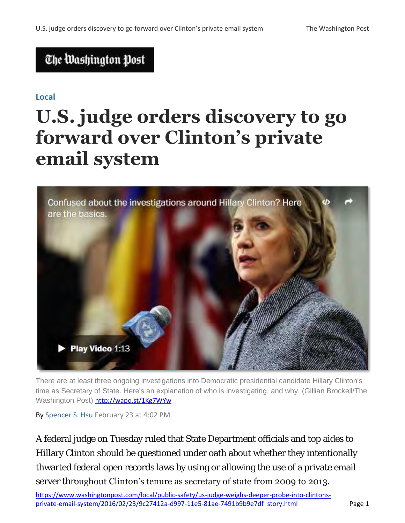## The Washington Post

#### **Local**

# **U.S. judge orders discovery to go forward over Clinton's private email system**



There are at least three ongoing investigations into Democratic presidential candidate Hillary Clinton's time as Secretary of State. Here's an explanation of who is investigating, and why. (Gillian Brockell/The Washington Post) <http://wapo.st/1Kg7WYw>

By [Spencer S. Hsu](http://www.washingtonpost.com/people/spencer-s-hsu) February 23 at 4:02 PM

[https://www.washingtonpost.com/local/public-safety/us-judge-weighs-deeper-probe-into-clintons-](https://www.washingtonpost.com/local/public-safety/us-judge-weighs-deeper-probe-into-clintons-private-email-system/2016/02/23/9c27412a-d997-11e5-81ae-7491b9b9e7df_story.html)A federal judge on Tuesday ruled that State Department officials and top aides to Hillary Clinton should be questioned under oath about whether they intentionally thwarted federal open records laws by using or allowing the use of a private email server throughout Clinton's tenure as secretary of state from 2009 to 2013.

[private-email-system/2016/02/23/9c27412a-d997-11e5-81ae-7491b9b9e7df story.html](https://www.washingtonpost.com/local/public-safety/us-judge-weighs-deeper-probe-into-clintons-private-email-system/2016/02/23/9c27412a-d997-11e5-81ae-7491b9b9e7df_story.html) Page 1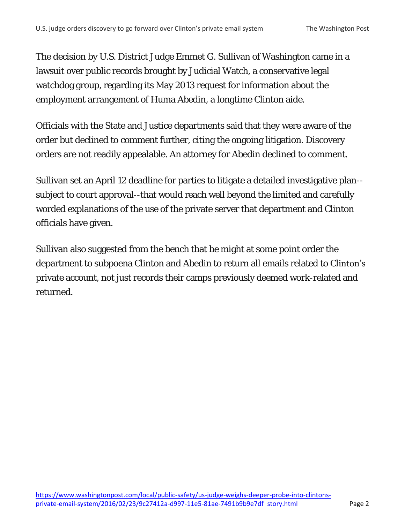The decision by U.S. District Judge Emmet G. Sullivan of Washington came in a lawsuit over public records brought by Judicial Watch, a conservative legal watchdog group, regarding its May 2013 request for information about the employment arrangement of Huma Abedin, a longtime Clinton aide.

Officials with the State and Justice departments said that they were aware of the order but declined to comment further, citing the ongoing litigation. Discovery orders are not readily appealable. An attorney for Abedin declined to comment.

Sullivan set an April 12 deadline for parties to litigate a detailed investigative plan- subject to court approval--that would reach well beyond the limited and carefully worded explanations of the use of the private server that department and Clinton officials have given.

Sullivan also suggested from the bench that he might at some point order the department to subpoena Clinton and Abedin to return all emails related to Clinton's private account, not just records their camps previously deemed work-related and returned.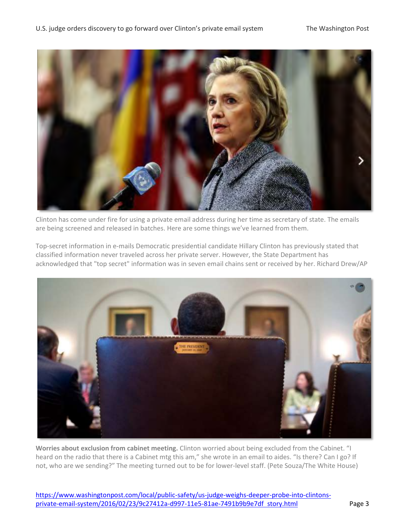

Clinton has come under fire for using a private email address during her time as secretary of state. The emails are being screened and released in batches. Here are some things we've learned from them.

Top-secret information in e-mails Democratic presidential candidate Hillary Clinton has previously stated that classified information never traveled across her private server. However, the State Department has acknowledged that "top secret" information was in seven email chains sent or received by her. Richard Drew/AP



**Worries about exclusion from cabinet meeting.** Clinton worried about being excluded from the Cabinet. "I heard on the radio that there is a Cabinet mtg this am," she wrote in an email to aides. "Is there? Can I go? If not, who are we sending?" The meeting turned out to be for lower-level staff. (Pete Souza/The White House)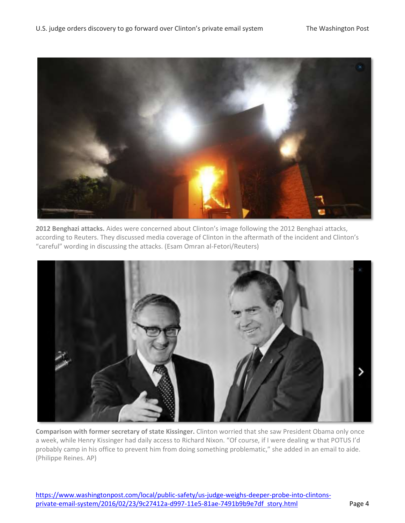

**2012 Benghazi attacks.** Aides were concerned about Clinton's image following the 2012 Benghazi attacks, according to Reuters. They discussed media coverage of Clinton in the aftermath of the incident and Clinton's "careful" wording in discussing the attacks. (Esam Omran al-Fetori/Reuters)



**Comparison with former secretary of state Kissinger.** Clinton worried that she saw President Obama only once a week, while Henry Kissinger had daily access to Richard Nixon. "Of course, if I were dealing w that POTUS I'd probably camp in his office to prevent him from doing something problematic," she added in an email to aide. (Philippe Reines. AP)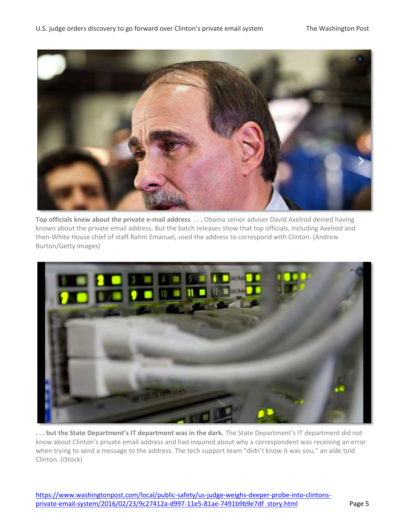

**Top officials knew about the private e-mail address . . .** Obama senior adviser David Axelrod denied having known about the private email address. But the batch releases show that top officials, including Axelrod and then-White House chief of staff Rahm Emanuel, used the address to correspond with Clinton. (Andrew Burton/Getty Images)



**. . . but the State Department's IT department was in the dark.** The State Department's IT department did not know about Clinton's private email address and had inquired about why a correspondent was receiving an error when trying to send a message to the address. The tech support team "didn't know it was you," an aide told Clinton. (iStock)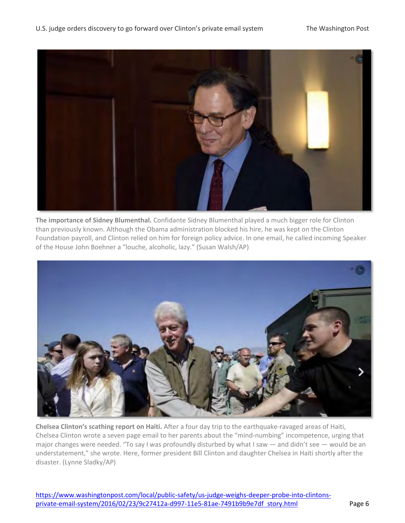

**The importance of Sidney Blumenthal.** Confidante Sidney Blumenthal played a much bigger role for Clinton than previously known. Although the Obama administration blocked his hire, he was kept on the Clinton Foundation payroll, and Clinton relied on him for foreign policy advice. In one email, he called incoming Speaker of the House John Boehner a "louche, alcoholic, lazy." (Susan Walsh/AP)



**Chelsea Clinton's scathing report on Haiti.** After a four day trip to the earthquake-ravaged areas of Haiti, Chelsea Clinton wrote a seven page email to her parents about the "mind-numbing" incompetence, urging that major changes were needed. "To say I was profoundly disturbed by what I saw — and didn't see — would be an understatement," she wrote. Here, former president Bill Clinton and daughter Chelsea in Haiti shortly after the disaster. (Lynne Sladky/AP)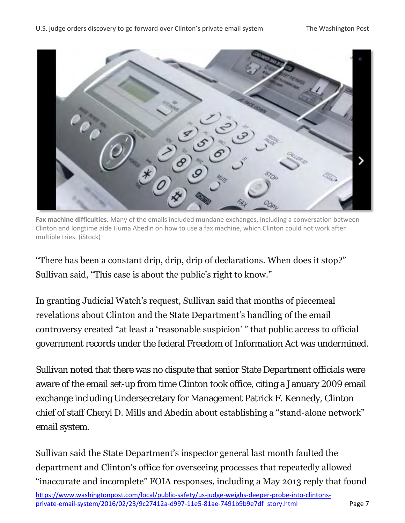

**Fax machine difficulties.** Many of the emails included mundane exchanges, including a conversation between Clinton and longtime aide Huma Abedin on how to use a fax machine, which Clinton could not work after multiple tries. (iStock)

"There has been a constant drip, drip, drip of declarations. When does it stop?" Sullivan said, "This case is about the public's right to know."

In granting Judicial Watch"s request, Sullivan said that months of piecemeal revelations about Clinton and the State Department"s handling of the email controversy created "at least a "reasonable suspicion" " that public access to official government records under the federal Freedom of Information Act was undermined.

Sullivan noted that there was no dispute that senior State Department officials were aware of the email set-up from time Clinton took office, citing a January 2009 email exchange including Undersecretary for Management Patrick F. Kennedy, Clinton chief of staff Cheryl D. Mills and Abedin about establishing a "stand-alone network" email system.

Sullivan said the State Department"s inspector general last month faulted the department and Clinton"s office for overseeing processes that repeatedly allowed "inaccurate and incomplete" FOIA responses, including a May 2013 reply that found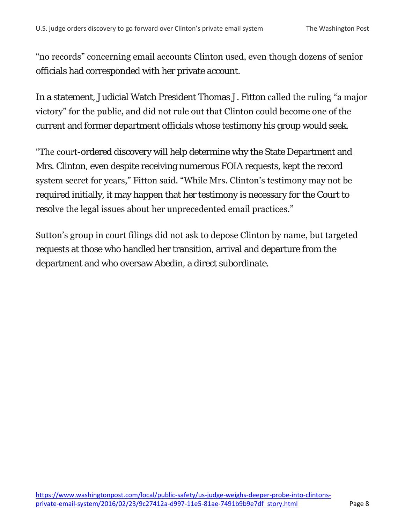"no records" concerning email accounts Clinton used, even though dozens of senior officials had corresponded with her private account.

In a statement, Judicial Watch President Thomas J. Fitton called the ruling "a major victory" for the public, and did not rule out that Clinton could become one of the current and former department officials whose testimony his group would seek.

**"The court-ordered discovery will help determine why the State Department and** Mrs. Clinton, even despite receiving numerous FOIA requests, kept the record system secret for years," Fitton said. "While Mrs. Clinton"s testimony may not be required initially, it may happen that her testimony is necessary for the Court to resolve the legal issues about her unprecedented email practices."

Sutton"s group in court filings did not ask to depose Clinton by name, but targeted requests at those who handled her transition, arrival and departure from the department and who oversaw Abedin, a direct subordinate.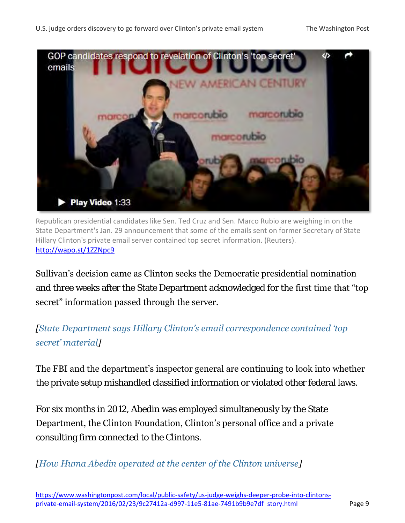

Republican presidential candidates like Sen. Ted Cruz and Sen. Marco Rubio are weighing in on the State Department's Jan. 29 announcement that some of the emails sent on former Secretary of State Hillary Clinton's private email server contained top secret information. (Reuters). <http://wapo.st/1ZZNpc9>

Sullivan"s decision came as Clinton seeks the Democratic presidential nomination and three weeks after the State Department acknowledged for the first time that "top secret" information passed through the server.

*[[State Department says Hillary Clinton's email correspondence contained 'top](https://www.washingtonpost.com/news/post-politics/wp/2016/01/29/the-state-department-concludes-there-is-top-secret-material-in-hillary-clintons-email-correspondence-from-her-time-as-secretary-of-state/)  [secret' material](https://www.washingtonpost.com/news/post-politics/wp/2016/01/29/the-state-department-concludes-there-is-top-secret-material-in-hillary-clintons-email-correspondence-from-her-time-as-secretary-of-state/)]*

The FBI and the department's inspector general are continuing to look into whether the private setup mishandled classified information or violated other federal laws.

For six months in 2012, Abedin was employed simultaneously by the State Department, the Clinton Foundation, Clinton"s personal office and a private consulting firm connected to the Clintons.

*[\[How Huma Abedin operated at the center of the Clinton universe\]](https://www.washingtonpost.com/politics/how-huma-abedin-operated-at-the-center-of-the-clinton-universe/2015/08/27/cd099eee-4b32-11e5-902f-39e9219e574b_story.html?tid=a_inl)*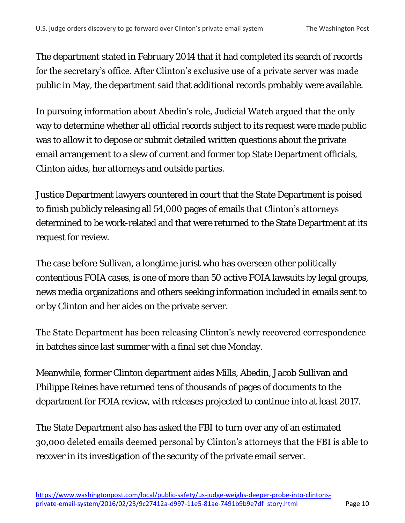The department stated in February 2014 that it had completed its search of records for the secretary's office. After Clinton's exclusive use of a private server was made public in May, the department said that additional records probably were available.

In pursuing information about Abedin"s role, Judicial Watch argued that the only way to determine whether all official records subject to its request were made public was to allow it to depose or submit detailed written questions about the private email arrangement to a slew of current and former top State Department officials, Clinton aides, her attorneys and outside parties.

Justice Department lawyers countered in court that the State Department is poised to finish publicly releasing all 54,000 pages of emails that Clinton's attorneys determined to be work-related and that were returned to the State Department at its request for review.

The case before Sullivan, a longtime jurist who has overseen other politically contentious FOIA cases, is one of more than 50 active FOIA lawsuits by legal groups, news media organizations and others seeking information included in emails sent to or by Clinton and her aides on the private server.

The State Department has been releasing Clinton"s newly recovered correspondence in batches since last summer with a final set due Monday.

Meanwhile, former Clinton department aides Mills, Abedin, Jacob Sullivan and Philippe Reines have returned tens of thousands of pages of documents to the department for FOIA review, with releases projected to continue into at least 2017.

The State Department also has asked the FBI to turn over any of an estimated 30,000 deleted emails deemed personal by Clinton"s attorneys that the FBI is able to recover in its investigation of the security of the private email server.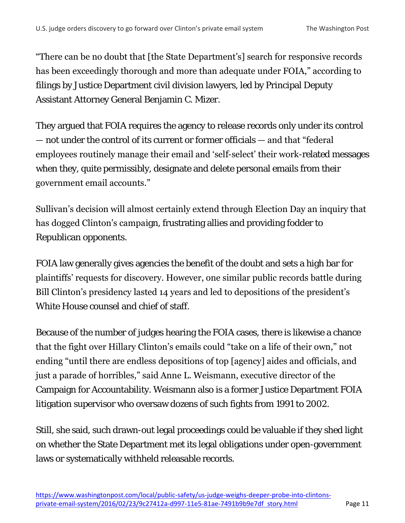"There can be no doubt that [the State Department"s] search for responsive records has been exceedingly thorough and more than adequate under FOIA," according to filings by Justice Department civil division lawyers, led by Principal Deputy Assistant Attorney General Benjamin C. Mizer.

They argued that FOIA requires the agency to release records only under its control — not under the control of its current or former officials — and that "federal employees routinely manage their email and "self-select" their work-related messages when they, quite permissibly, designate and delete personal emails from their government email accounts."

Sullivan"s decision will almost certainly extend through Election Day an inquiry that has dogged Clinton's campaign, frustrating allies and providing fodder to Republican opponents.

FOIA law generally gives agencies the benefit of the doubt and sets a high bar for plaintiffs" requests for discovery. However, one similar public records battle during Bill Clinton's presidency lasted 14 years and led to depositions of the president's White House counsel and chief of staff.

Because of the number of judges hearing the FOIA cases, there is likewise a chance that the fight over Hillary Clinton"s emails could "take on a life of their own," not ending "until there are endless depositions of top [agency] aides and officials, and just a parade of horribles," said Anne L. Weismann, executive director of the Campaign for Accountability. Weismann also is a former Justice Department FOIA litigation supervisor who oversaw dozens of such fights from 1991 to 2002.

Still, she said, such drawn-out legal proceedings could be valuable if they shed light on whether the State Department met its legal obligations under open-government laws or systematically withheld releasable records.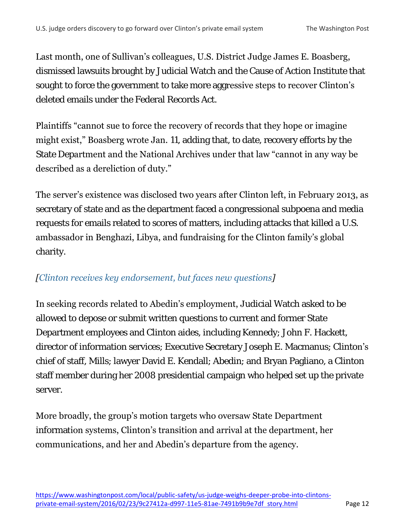Last month, one of Sullivan's colleagues, U.S. District Judge James E. Boasberg, dismissed lawsuits brought by Judicial Watch and the Cause of Action Institute that sought to force the government to take more aggressive steps to recover Clinton's deleted emails under the Federal Records Act.

Plaintiffs "cannot sue to force the recovery of records that they hope or imagine might exist," Boasberg wrote Jan. 11, adding that, to date, recovery efforts by the State Department and the National Archives under that law "cannot in any way be described as a dereliction of duty."

The server's existence was disclosed two years after Clinton left, in February 2013, as secretary of state and as the department faced a congressional subpoena and media requests for emails related to scores of matters, including attacks that killed a U.S. ambassador in Benghazi, Libya, and fundraising for the Clinton family"s global charity.

### *[\[Clinton receives key endorsement, but faces new questions\]](https://www.washingtonpost.com/politics/democratic-debate-clinton-sanders-likely-to-focus-on-minority-voters-concerns/2016/02/11/149c2afc-d075-11e5-b2bc-988409ee911b_story.html?tid=a_inl)*

In seeking records related to Abedin"s employment, Judicial Watch asked to be allowed to depose or submit written questions to current and former State Department employees and Clinton aides, including Kennedy; John F. Hackett, director of information services; Executive Secretary Joseph E. Macmanus; Clinton's chief of staff, Mills; lawyer David E. Kendall; Abedin; and Bryan Pagliano, a Clinton staff member during her 2008 presidential campaign who helped set up the private server.

More broadly, the group"s motion targets who oversaw State Department information systems, Clinton"s transition and arrival at the department, her communications, and her and Abedin"s departure from the agency.